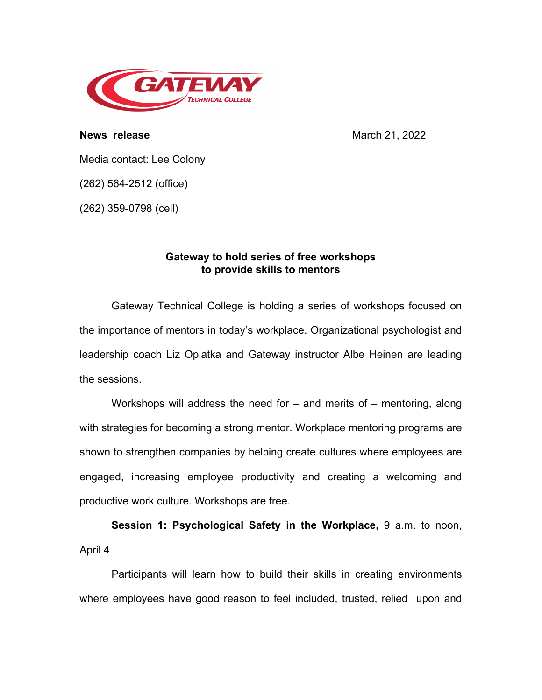

**News release** March 21, 2022

Media contact: Lee Colony

(262) 564-2512 (office)

(262) 359-0798 (cell)

## **Gateway to hold series of free workshops to provide skills to mentors**

Gateway Technical College is holding a series of workshops focused on the importance of mentors in today's workplace. Organizational psychologist and leadership coach Liz Oplatka and Gateway instructor Albe Heinen are leading the sessions.

Workshops will address the need for  $-$  and merits of  $-$  mentoring, along with strategies for becoming a strong mentor. Workplace mentoring programs are shown to strengthen companies by helping create cultures where employees are engaged, increasing employee productivity and creating a welcoming and productive work culture. Workshops are free.

**Session 1: Psychological Safety in the Workplace,** 9 a.m. to noon, April 4

Participants will learn how to build their skills in creating environments where employees have good reason to feel included, trusted, relied upon and